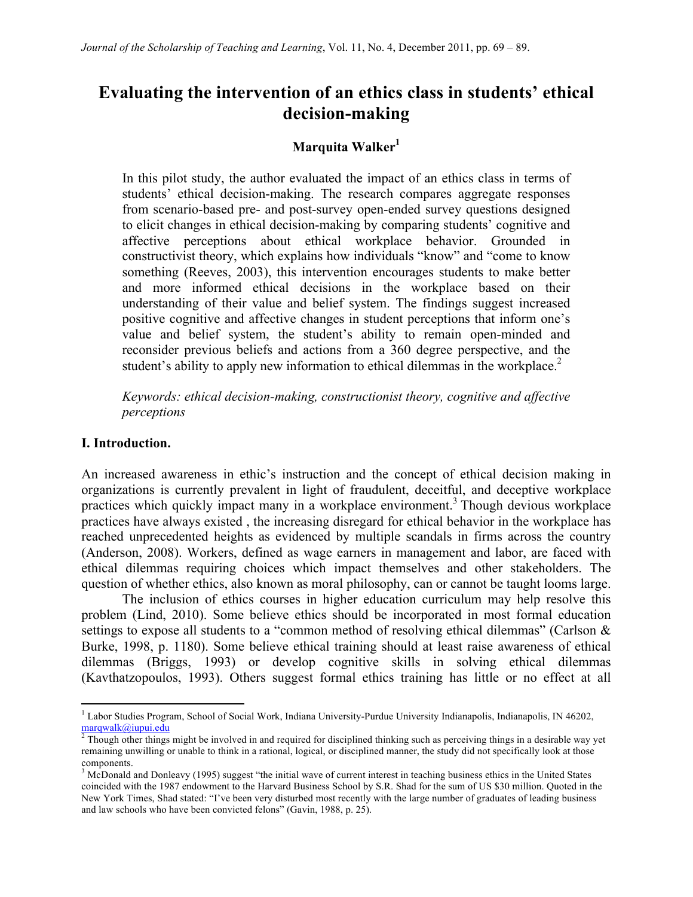# **Evaluating the intervention of an ethics class in students' ethical decision-making**

#### **Marquita Walker1**

In this pilot study, the author evaluated the impact of an ethics class in terms of students' ethical decision-making. The research compares aggregate responses from scenario-based pre- and post-survey open-ended survey questions designed to elicit changes in ethical decision-making by comparing students' cognitive and affective perceptions about ethical workplace behavior. Grounded in constructivist theory, which explains how individuals "know" and "come to know something (Reeves, 2003), this intervention encourages students to make better and more informed ethical decisions in the workplace based on their understanding of their value and belief system. The findings suggest increased positive cognitive and affective changes in student perceptions that inform one's value and belief system, the student's ability to remain open-minded and reconsider previous beliefs and actions from a 360 degree perspective, and the student's ability to apply new information to ethical dilemmas in the workplace.<sup>2</sup>

*Keywords: ethical decision-making, constructionist theory, cognitive and affective perceptions* 

#### **I. Introduction.**

<u> 1989 - Johann Stein, fransk politik (d. 1989)</u>

An increased awareness in ethic's instruction and the concept of ethical decision making in organizations is currently prevalent in light of fraudulent, deceitful, and deceptive workplace practices which quickly impact many in a workplace environment.<sup>3</sup> Though devious workplace practices have always existed , the increasing disregard for ethical behavior in the workplace has reached unprecedented heights as evidenced by multiple scandals in firms across the country (Anderson, 2008). Workers, defined as wage earners in management and labor, are faced with ethical dilemmas requiring choices which impact themselves and other stakeholders. The question of whether ethics, also known as moral philosophy, can or cannot be taught looms large.

The inclusion of ethics courses in higher education curriculum may help resolve this problem (Lind, 2010). Some believe ethics should be incorporated in most formal education settings to expose all students to a "common method of resolving ethical dilemmas" (Carlson & Burke, 1998, p. 1180). Some believe ethical training should at least raise awareness of ethical dilemmas (Briggs, 1993) or develop cognitive skills in solving ethical dilemmas (Kavthatzopoulos, 1993). Others suggest formal ethics training has little or no effect at all

<sup>&</sup>lt;sup>1</sup> Labor Studies Program, School of Social Work, Indiana University-Purdue University Indianapolis, Indianapolis, IN 46202, marqwalk@iupui.edu

 $<sup>2</sup>$  Though other things might be involved in and required for disciplined thinking such as perceiving things in a desirable way yet</sup> remaining unwilling or unable to think in a rational, logical, or disciplined manner, the study did not specifically look at those components.

 $3$  McDonald and Donleavy (1995) suggest "the initial wave of current interest in teaching business ethics in the United States coincided with the 1987 endowment to the Harvard Business School by S.R. Shad for the sum of US \$30 million. Quoted in the New York Times, Shad stated: "I've been very disturbed most recently with the large number of graduates of leading business and law schools who have been convicted felons" (Gavin, 1988, p. 25).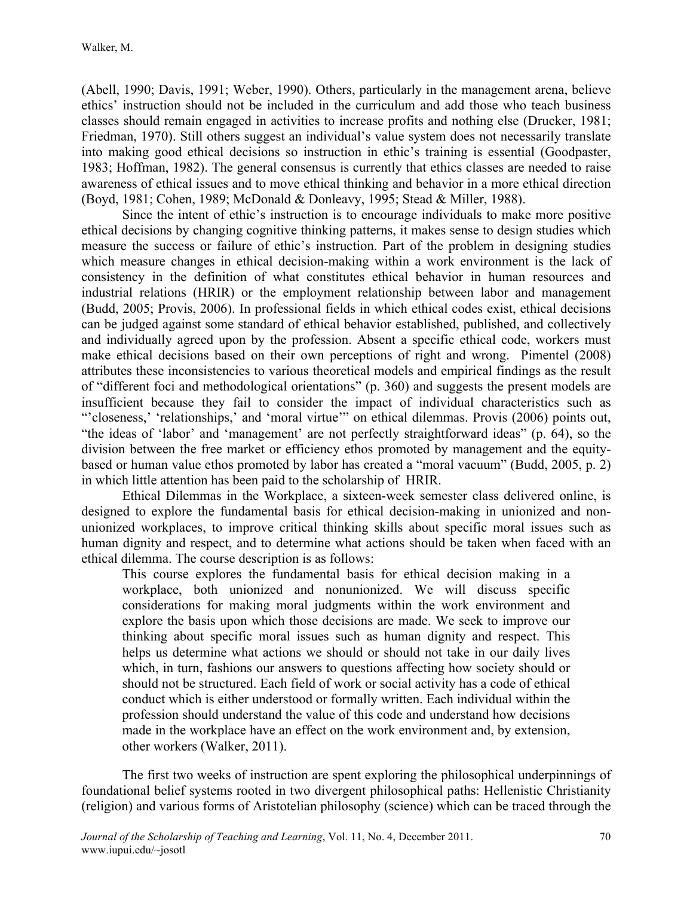(Abell, 1990; Davis, 1991; Weber, 1990). Others, particularly in the management arena, believe ethics' instruction should not be included in the curriculum and add those who teach business classes should remain engaged in activities to increase profits and nothing else (Drucker, 1981; Friedman, 1970). Still others suggest an individual's value system does not necessarily translate into making good ethical decisions so instruction in ethic's training is essential (Goodpaster, 1983; Hoffman, 1982). The general consensus is currently that ethics classes are needed to raise awareness of ethical issues and to move ethical thinking and behavior in a more ethical direction (Boyd, 1981; Cohen, 1989; McDonald & Donleavy, 1995; Stead & Miller, 1988).

Since the intent of ethic's instruction is to encourage individuals to make more positive ethical decisions by changing cognitive thinking patterns, it makes sense to design studies which measure the success or failure of ethic's instruction. Part of the problem in designing studies which measure changes in ethical decision-making within a work environment is the lack of consistency in the definition of what constitutes ethical behavior in human resources and industrial relations (HRIR) or the employment relationship between labor and management (Budd, 2005; Provis, 2006). In professional fields in which ethical codes exist, ethical decisions can be judged against some standard of ethical behavior established, published, and collectively and individually agreed upon by the profession. Absent a specific ethical code, workers must make ethical decisions based on their own perceptions of right and wrong. Pimentel (2008) attributes these inconsistencies to various theoretical models and empirical findings as the result of "different foci and methodological orientations" (p. 360) and suggests the present models are insufficient because they fail to consider the impact of individual characteristics such as "'closeness,' 'relationships,' and 'moral virtue'" on ethical dilemmas. Provis (2006) points out, "the ideas of 'labor' and 'management' are not perfectly straightforward ideas" (p. 64), so the division between the free market or efficiency ethos promoted by management and the equitybased or human value ethos promoted by labor has created a "moral vacuum" (Budd, 2005, p. 2) in which little attention has been paid to the scholarship of HRIR.

Ethical Dilemmas in the Workplace, a sixteen-week semester class delivered online, is designed to explore the fundamental basis for ethical decision-making in unionized and nonunionized workplaces, to improve critical thinking skills about specific moral issues such as human dignity and respect, and to determine what actions should be taken when faced with an ethical dilemma. The course description is as follows:

This course explores the fundamental basis for ethical decision making in a workplace, both unionized and nonunionized. We will discuss specific considerations for making moral judgments within the work environment and explore the basis upon which those decisions are made. We seek to improve our thinking about specific moral issues such as human dignity and respect. This helps us determine what actions we should or should not take in our daily lives which, in turn, fashions our answers to questions affecting how society should or should not be structured. Each field of work or social activity has a code of ethical conduct which is either understood or formally written. Each individual within the profession should understand the value of this code and understand how decisions made in the workplace have an effect on the work environment and, by extension, other workers (Walker, 2011).

The first two weeks of instruction are spent exploring the philosophical underpinnings of foundational belief systems rooted in two divergent philosophical paths: Hellenistic Christianity (religion) and various forms of Aristotelian philosophy (science) which can be traced through the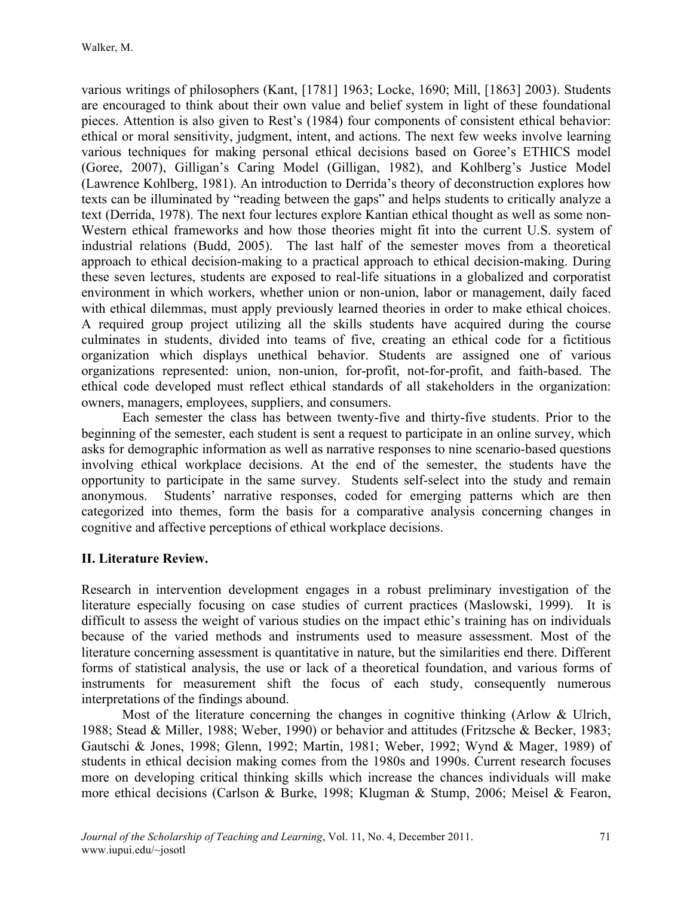various writings of philosophers (Kant, [1781] 1963; Locke, 1690; Mill, [1863] 2003). Students are encouraged to think about their own value and belief system in light of these foundational pieces. Attention is also given to Rest's (1984) four components of consistent ethical behavior: ethical or moral sensitivity, judgment, intent, and actions. The next few weeks involve learning various techniques for making personal ethical decisions based on Goree's ETHICS model (Goree, 2007), Gilligan's Caring Model (Gilligan, 1982), and Kohlberg's Justice Model (Lawrence Kohlberg, 1981). An introduction to Derrida's theory of deconstruction explores how texts can be illuminated by "reading between the gaps" and helps students to critically analyze a text (Derrida, 1978). The next four lectures explore Kantian ethical thought as well as some non-Western ethical frameworks and how those theories might fit into the current U.S. system of industrial relations (Budd, 2005). The last half of the semester moves from a theoretical approach to ethical decision-making to a practical approach to ethical decision-making. During these seven lectures, students are exposed to real-life situations in a globalized and corporatist environment in which workers, whether union or non-union, labor or management, daily faced with ethical dilemmas, must apply previously learned theories in order to make ethical choices. A required group project utilizing all the skills students have acquired during the course culminates in students, divided into teams of five, creating an ethical code for a fictitious organization which displays unethical behavior. Students are assigned one of various organizations represented: union, non-union, for-profit, not-for-profit, and faith-based. The ethical code developed must reflect ethical standards of all stakeholders in the organization: owners, managers, employees, suppliers, and consumers.

Each semester the class has between twenty-five and thirty-five students. Prior to the beginning of the semester, each student is sent a request to participate in an online survey, which asks for demographic information as well as narrative responses to nine scenario-based questions involving ethical workplace decisions. At the end of the semester, the students have the opportunity to participate in the same survey. Students self-select into the study and remain anonymous. Students' narrative responses, coded for emerging patterns which are then categorized into themes, form the basis for a comparative analysis concerning changes in cognitive and affective perceptions of ethical workplace decisions.

# **II. Literature Review.**

Research in intervention development engages in a robust preliminary investigation of the literature especially focusing on case studies of current practices (Maslowski, 1999). It is difficult to assess the weight of various studies on the impact ethic's training has on individuals because of the varied methods and instruments used to measure assessment. Most of the literature concerning assessment is quantitative in nature, but the similarities end there. Different forms of statistical analysis, the use or lack of a theoretical foundation, and various forms of instruments for measurement shift the focus of each study, consequently numerous interpretations of the findings abound.

Most of the literature concerning the changes in cognitive thinking (Arlow & Ulrich, 1988; Stead & Miller, 1988; Weber, 1990) or behavior and attitudes (Fritzsche & Becker, 1983; Gautschi & Jones, 1998; Glenn, 1992; Martin, 1981; Weber, 1992; Wynd & Mager, 1989) of students in ethical decision making comes from the 1980s and 1990s. Current research focuses more on developing critical thinking skills which increase the chances individuals will make more ethical decisions (Carlson & Burke, 1998; Klugman & Stump, 2006; Meisel & Fearon,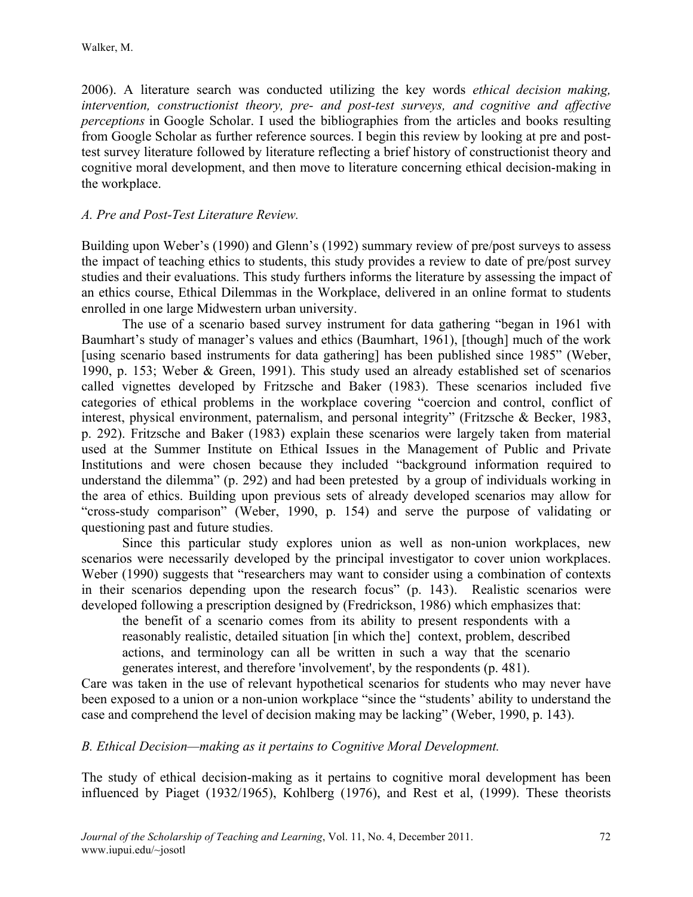2006). A literature search was conducted utilizing the key words *ethical decision making, intervention, constructionist theory, pre- and post-test surveys, and cognitive and affective perceptions* in Google Scholar. I used the bibliographies from the articles and books resulting from Google Scholar as further reference sources. I begin this review by looking at pre and posttest survey literature followed by literature reflecting a brief history of constructionist theory and cognitive moral development, and then move to literature concerning ethical decision-making in the workplace.

#### *A. Pre and Post-Test Literature Review.*

Building upon Weber's (1990) and Glenn's (1992) summary review of pre/post surveys to assess the impact of teaching ethics to students, this study provides a review to date of pre/post survey studies and their evaluations. This study furthers informs the literature by assessing the impact of an ethics course, Ethical Dilemmas in the Workplace, delivered in an online format to students enrolled in one large Midwestern urban university.

The use of a scenario based survey instrument for data gathering "began in 1961 with Baumhart's study of manager's values and ethics (Baumhart, 1961), [though] much of the work [using scenario based instruments for data gathering] has been published since 1985" (Weber, 1990, p. 153; Weber & Green, 1991). This study used an already established set of scenarios called vignettes developed by Fritzsche and Baker (1983). These scenarios included five categories of ethical problems in the workplace covering "coercion and control, conflict of interest, physical environment, paternalism, and personal integrity" (Fritzsche & Becker, 1983, p. 292). Fritzsche and Baker (1983) explain these scenarios were largely taken from material used at the Summer Institute on Ethical Issues in the Management of Public and Private Institutions and were chosen because they included "background information required to understand the dilemma" (p. 292) and had been pretested by a group of individuals working in the area of ethics. Building upon previous sets of already developed scenarios may allow for "cross-study comparison" (Weber, 1990, p. 154) and serve the purpose of validating or questioning past and future studies.

Since this particular study explores union as well as non-union workplaces, new scenarios were necessarily developed by the principal investigator to cover union workplaces. Weber (1990) suggests that "researchers may want to consider using a combination of contexts in their scenarios depending upon the research focus" (p. 143). Realistic scenarios were developed following a prescription designed by (Fredrickson, 1986) which emphasizes that:

the benefit of a scenario comes from its ability to present respondents with a reasonably realistic, detailed situation [in which the] context, problem, described actions, and terminology can all be written in such a way that the scenario generates interest, and therefore 'involvement', by the respondents (p. 481).

Care was taken in the use of relevant hypothetical scenarios for students who may never have been exposed to a union or a non-union workplace "since the "students' ability to understand the case and comprehend the level of decision making may be lacking" (Weber, 1990, p. 143).

*B. Ethical Decision—making as it pertains to Cognitive Moral Development.*

The study of ethical decision-making as it pertains to cognitive moral development has been influenced by Piaget (1932/1965), Kohlberg (1976), and Rest et al, (1999). These theorists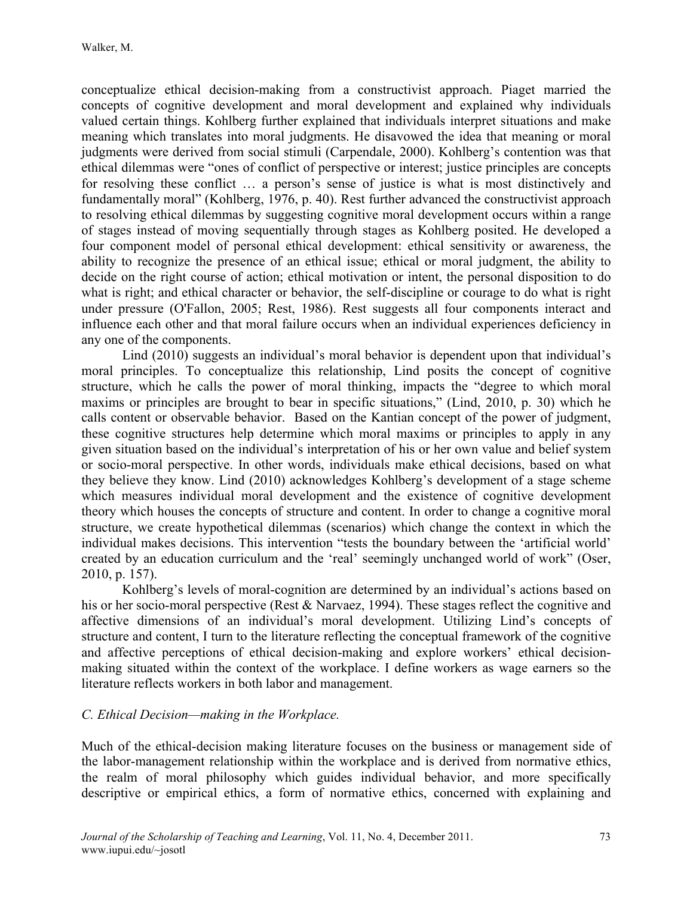conceptualize ethical decision-making from a constructivist approach. Piaget married the concepts of cognitive development and moral development and explained why individuals valued certain things. Kohlberg further explained that individuals interpret situations and make meaning which translates into moral judgments. He disavowed the idea that meaning or moral judgments were derived from social stimuli (Carpendale, 2000). Kohlberg's contention was that ethical dilemmas were "ones of conflict of perspective or interest; justice principles are concepts for resolving these conflict … a person's sense of justice is what is most distinctively and fundamentally moral" (Kohlberg, 1976, p. 40). Rest further advanced the constructivist approach to resolving ethical dilemmas by suggesting cognitive moral development occurs within a range of stages instead of moving sequentially through stages as Kohlberg posited. He developed a four component model of personal ethical development: ethical sensitivity or awareness, the ability to recognize the presence of an ethical issue; ethical or moral judgment, the ability to decide on the right course of action; ethical motivation or intent, the personal disposition to do what is right; and ethical character or behavior, the self-discipline or courage to do what is right under pressure (O'Fallon, 2005; Rest, 1986). Rest suggests all four components interact and influence each other and that moral failure occurs when an individual experiences deficiency in any one of the components.

Lind (2010) suggests an individual's moral behavior is dependent upon that individual's moral principles. To conceptualize this relationship, Lind posits the concept of cognitive structure, which he calls the power of moral thinking, impacts the "degree to which moral maxims or principles are brought to bear in specific situations," (Lind, 2010, p. 30) which he calls content or observable behavior. Based on the Kantian concept of the power of judgment, these cognitive structures help determine which moral maxims or principles to apply in any given situation based on the individual's interpretation of his or her own value and belief system or socio-moral perspective. In other words, individuals make ethical decisions, based on what they believe they know. Lind (2010) acknowledges Kohlberg's development of a stage scheme which measures individual moral development and the existence of cognitive development theory which houses the concepts of structure and content. In order to change a cognitive moral structure, we create hypothetical dilemmas (scenarios) which change the context in which the individual makes decisions. This intervention "tests the boundary between the 'artificial world' created by an education curriculum and the 'real' seemingly unchanged world of work" (Oser, 2010, p. 157).

Kohlberg's levels of moral-cognition are determined by an individual's actions based on his or her socio-moral perspective (Rest & Narvaez, 1994). These stages reflect the cognitive and affective dimensions of an individual's moral development. Utilizing Lind's concepts of structure and content, I turn to the literature reflecting the conceptual framework of the cognitive and affective perceptions of ethical decision-making and explore workers' ethical decisionmaking situated within the context of the workplace. I define workers as wage earners so the literature reflects workers in both labor and management.

### *C. Ethical Decision—making in the Workplace.*

Much of the ethical-decision making literature focuses on the business or management side of the labor-management relationship within the workplace and is derived from normative ethics, the realm of moral philosophy which guides individual behavior, and more specifically descriptive or empirical ethics, a form of normative ethics, concerned with explaining and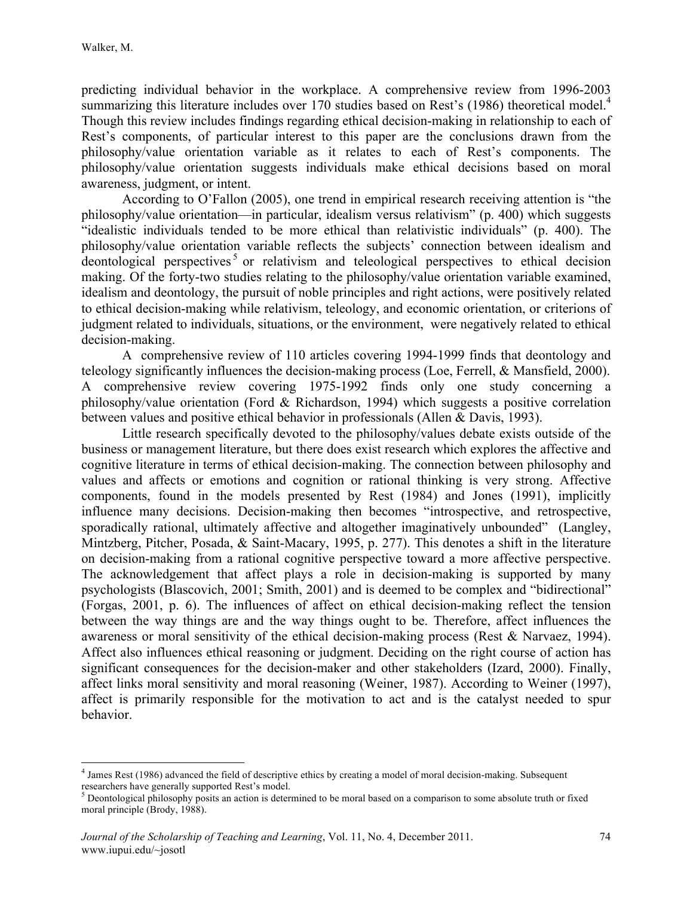predicting individual behavior in the workplace. A comprehensive review from 1996-2003 summarizing this literature includes over 170 studies based on Rest's (1986) theoretical model.<sup>4</sup> Though this review includes findings regarding ethical decision-making in relationship to each of Rest's components, of particular interest to this paper are the conclusions drawn from the philosophy/value orientation variable as it relates to each of Rest's components. The philosophy/value orientation suggests individuals make ethical decisions based on moral awareness, judgment, or intent.

According to O'Fallon (2005), one trend in empirical research receiving attention is "the philosophy/value orientation—in particular, idealism versus relativism" (p. 400) which suggests "idealistic individuals tended to be more ethical than relativistic individuals" (p. 400). The philosophy/value orientation variable reflects the subjects' connection between idealism and deontological perspectives<sup>5</sup> or relativism and teleological perspectives to ethical decision making. Of the forty-two studies relating to the philosophy/value orientation variable examined, idealism and deontology, the pursuit of noble principles and right actions, were positively related to ethical decision-making while relativism, teleology, and economic orientation, or criterions of judgment related to individuals, situations, or the environment, were negatively related to ethical decision-making.

A comprehensive review of 110 articles covering 1994-1999 finds that deontology and teleology significantly influences the decision-making process (Loe, Ferrell, & Mansfield, 2000). A comprehensive review covering 1975-1992 finds only one study concerning a philosophy/value orientation (Ford & Richardson, 1994) which suggests a positive correlation between values and positive ethical behavior in professionals (Allen & Davis, 1993).

Little research specifically devoted to the philosophy/values debate exists outside of the business or management literature, but there does exist research which explores the affective and cognitive literature in terms of ethical decision-making. The connection between philosophy and values and affects or emotions and cognition or rational thinking is very strong. Affective components, found in the models presented by Rest (1984) and Jones (1991), implicitly influence many decisions. Decision-making then becomes "introspective, and retrospective, sporadically rational, ultimately affective and altogether imaginatively unbounded" (Langley, Mintzberg, Pitcher, Posada, & Saint-Macary, 1995, p. 277). This denotes a shift in the literature on decision-making from a rational cognitive perspective toward a more affective perspective. The acknowledgement that affect plays a role in decision-making is supported by many psychologists (Blascovich, 2001; Smith, 2001) and is deemed to be complex and "bidirectional" (Forgas, 2001, p. 6). The influences of affect on ethical decision-making reflect the tension between the way things are and the way things ought to be. Therefore, affect influences the awareness or moral sensitivity of the ethical decision-making process (Rest & Narvaez, 1994). Affect also influences ethical reasoning or judgment. Deciding on the right course of action has significant consequences for the decision-maker and other stakeholders (Izard, 2000). Finally, affect links moral sensitivity and moral reasoning (Weiner, 1987). According to Weiner (1997), affect is primarily responsible for the motivation to act and is the catalyst needed to spur behavior.

 

<sup>&</sup>lt;sup>4</sup> James Rest (1986) advanced the field of descriptive ethics by creating a model of moral decision-making. Subsequent researchers have generally supported Rest's model.

 $<sup>5</sup>$  Deontological philosophy posits an action is determined to be moral based on a comparison to some absolute truth or fixed</sup> moral principle (Brody, 1988).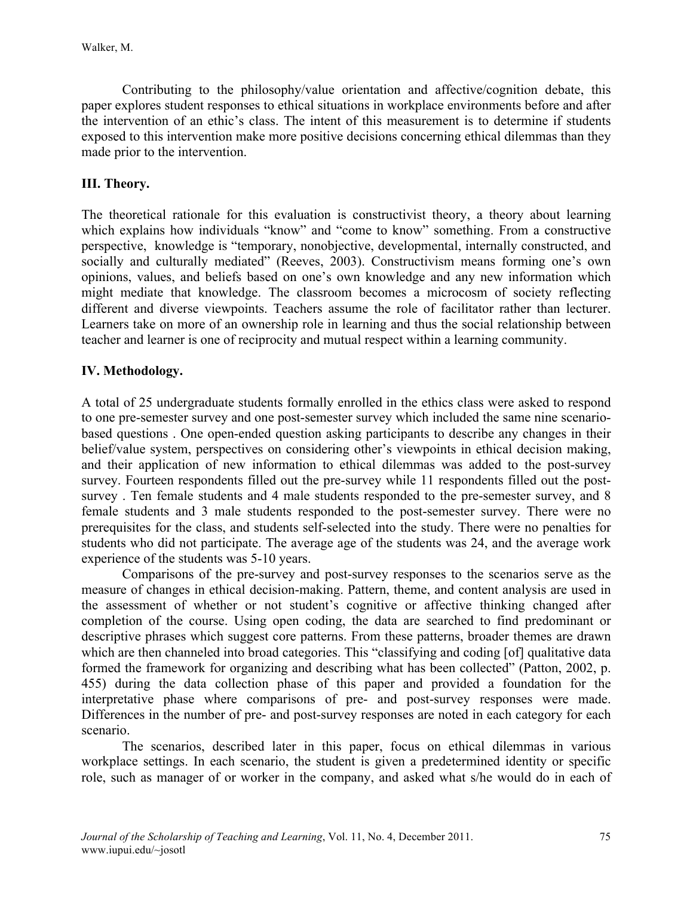Contributing to the philosophy/value orientation and affective/cognition debate, this paper explores student responses to ethical situations in workplace environments before and after the intervention of an ethic's class. The intent of this measurement is to determine if students exposed to this intervention make more positive decisions concerning ethical dilemmas than they made prior to the intervention.

# **III. Theory.**

The theoretical rationale for this evaluation is constructivist theory, a theory about learning which explains how individuals "know" and "come to know" something. From a constructive perspective, knowledge is "temporary, nonobjective, developmental, internally constructed, and socially and culturally mediated" (Reeves, 2003). Constructivism means forming one's own opinions, values, and beliefs based on one's own knowledge and any new information which might mediate that knowledge. The classroom becomes a microcosm of society reflecting different and diverse viewpoints. Teachers assume the role of facilitator rather than lecturer. Learners take on more of an ownership role in learning and thus the social relationship between teacher and learner is one of reciprocity and mutual respect within a learning community.

## **IV. Methodology.**

A total of 25 undergraduate students formally enrolled in the ethics class were asked to respond to one pre-semester survey and one post-semester survey which included the same nine scenariobased questions . One open-ended question asking participants to describe any changes in their belief/value system, perspectives on considering other's viewpoints in ethical decision making, and their application of new information to ethical dilemmas was added to the post-survey survey. Fourteen respondents filled out the pre-survey while 11 respondents filled out the postsurvey . Ten female students and 4 male students responded to the pre-semester survey, and 8 female students and 3 male students responded to the post-semester survey. There were no prerequisites for the class, and students self-selected into the study. There were no penalties for students who did not participate. The average age of the students was 24, and the average work experience of the students was 5-10 years.

Comparisons of the pre-survey and post-survey responses to the scenarios serve as the measure of changes in ethical decision-making. Pattern, theme, and content analysis are used in the assessment of whether or not student's cognitive or affective thinking changed after completion of the course. Using open coding, the data are searched to find predominant or descriptive phrases which suggest core patterns. From these patterns, broader themes are drawn which are then channeled into broad categories. This "classifying and coding [of] qualitative data formed the framework for organizing and describing what has been collected" (Patton, 2002, p. 455) during the data collection phase of this paper and provided a foundation for the interpretative phase where comparisons of pre- and post-survey responses were made. Differences in the number of pre- and post-survey responses are noted in each category for each scenario.

The scenarios, described later in this paper, focus on ethical dilemmas in various workplace settings. In each scenario, the student is given a predetermined identity or specific role, such as manager of or worker in the company, and asked what s/he would do in each of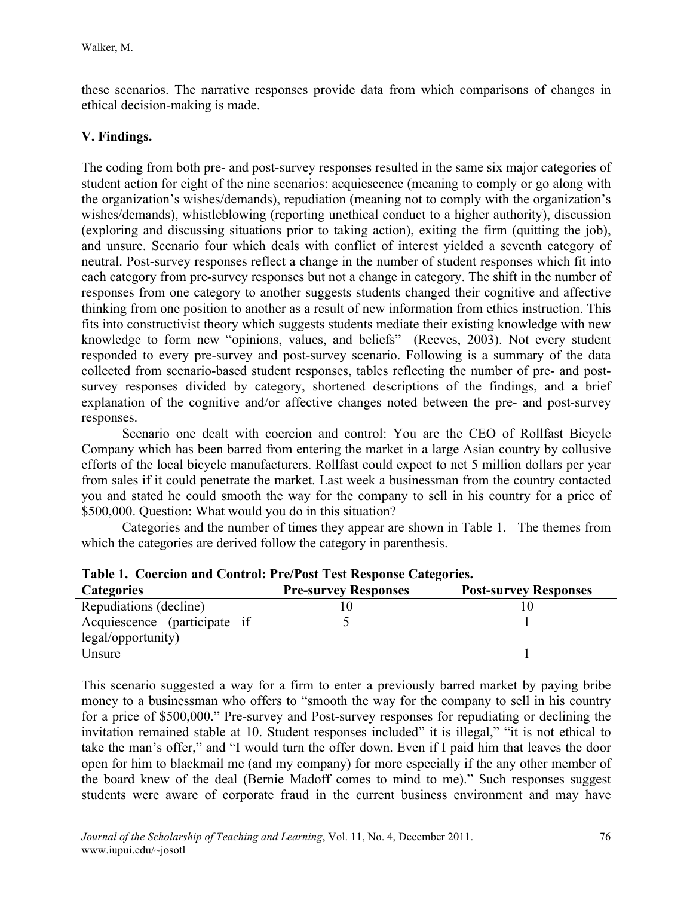these scenarios. The narrative responses provide data from which comparisons of changes in ethical decision-making is made.

#### **V. Findings.**

The coding from both pre- and post-survey responses resulted in the same six major categories of student action for eight of the nine scenarios: acquiescence (meaning to comply or go along with the organization's wishes/demands), repudiation (meaning not to comply with the organization's wishes/demands), whistleblowing (reporting unethical conduct to a higher authority), discussion (exploring and discussing situations prior to taking action), exiting the firm (quitting the job), and unsure. Scenario four which deals with conflict of interest yielded a seventh category of neutral. Post-survey responses reflect a change in the number of student responses which fit into each category from pre-survey responses but not a change in category. The shift in the number of responses from one category to another suggests students changed their cognitive and affective thinking from one position to another as a result of new information from ethics instruction. This fits into constructivist theory which suggests students mediate their existing knowledge with new knowledge to form new "opinions, values, and beliefs" (Reeves, 2003). Not every student responded to every pre-survey and post-survey scenario. Following is a summary of the data collected from scenario-based student responses, tables reflecting the number of pre- and postsurvey responses divided by category, shortened descriptions of the findings, and a brief explanation of the cognitive and/or affective changes noted between the pre- and post-survey responses.

Scenario one dealt with coercion and control: You are the CEO of Rollfast Bicycle Company which has been barred from entering the market in a large Asian country by collusive efforts of the local bicycle manufacturers. Rollfast could expect to net 5 million dollars per year from sales if it could penetrate the market. Last week a businessman from the country contacted you and stated he could smooth the way for the company to sell in his country for a price of \$500,000. Question: What would you do in this situation?

Categories and the number of times they appear are shown in Table 1. The themes from which the categories are derived follow the category in parenthesis.

| <b>Categories</b>            | <b>Pre-survey Responses</b> | <b>Post-survey Responses</b> |  |
|------------------------------|-----------------------------|------------------------------|--|
| Repudiations (decline)       |                             |                              |  |
| Acquiescence (participate if |                             |                              |  |
| legal/opportunity)           |                             |                              |  |
| Unsure                       |                             |                              |  |
|                              |                             |                              |  |

| Table 1. Coercion and Control: Pre/Post Test Response Categories. |  |  |
|-------------------------------------------------------------------|--|--|
|                                                                   |  |  |

This scenario suggested a way for a firm to enter a previously barred market by paying bribe money to a businessman who offers to "smooth the way for the company to sell in his country for a price of \$500,000." Pre-survey and Post-survey responses for repudiating or declining the invitation remained stable at 10. Student responses included" it is illegal," "it is not ethical to take the man's offer," and "I would turn the offer down. Even if I paid him that leaves the door open for him to blackmail me (and my company) for more especially if the any other member of the board knew of the deal (Bernie Madoff comes to mind to me)." Such responses suggest students were aware of corporate fraud in the current business environment and may have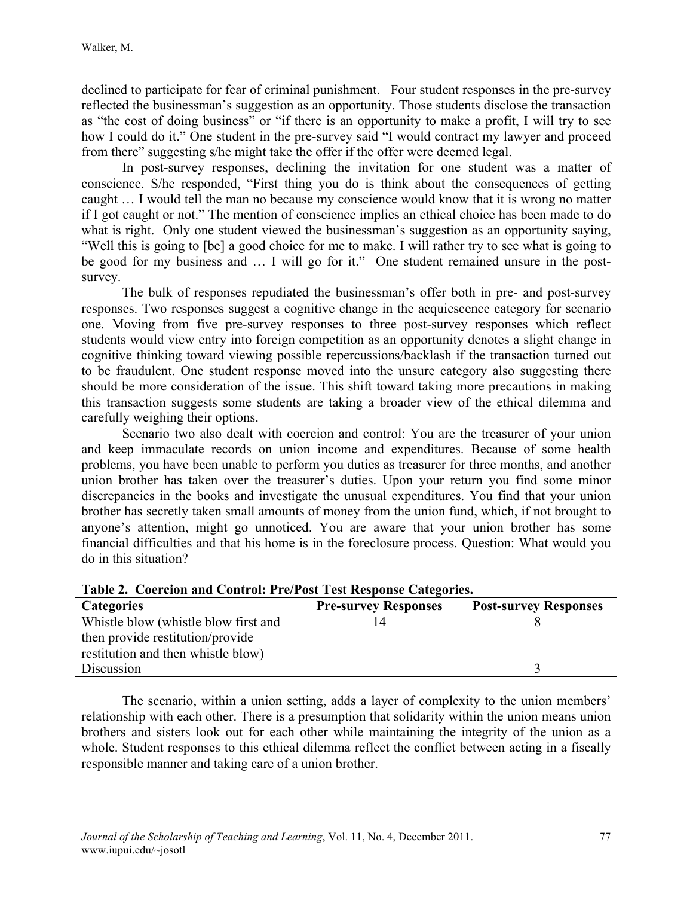declined to participate for fear of criminal punishment. Four student responses in the pre-survey reflected the businessman's suggestion as an opportunity. Those students disclose the transaction as "the cost of doing business" or "if there is an opportunity to make a profit, I will try to see how I could do it." One student in the pre-survey said "I would contract my lawyer and proceed from there" suggesting s/he might take the offer if the offer were deemed legal.

In post-survey responses, declining the invitation for one student was a matter of conscience. S/he responded, "First thing you do is think about the consequences of getting caught … I would tell the man no because my conscience would know that it is wrong no matter if I got caught or not." The mention of conscience implies an ethical choice has been made to do what is right. Only one student viewed the businessman's suggestion as an opportunity saying, "Well this is going to [be] a good choice for me to make. I will rather try to see what is going to be good for my business and … I will go for it." One student remained unsure in the postsurvey.

The bulk of responses repudiated the businessman's offer both in pre- and post-survey responses. Two responses suggest a cognitive change in the acquiescence category for scenario one. Moving from five pre-survey responses to three post-survey responses which reflect students would view entry into foreign competition as an opportunity denotes a slight change in cognitive thinking toward viewing possible repercussions/backlash if the transaction turned out to be fraudulent. One student response moved into the unsure category also suggesting there should be more consideration of the issue. This shift toward taking more precautions in making this transaction suggests some students are taking a broader view of the ethical dilemma and carefully weighing their options.

Scenario two also dealt with coercion and control: You are the treasurer of your union and keep immaculate records on union income and expenditures. Because of some health problems, you have been unable to perform you duties as treasurer for three months, and another union brother has taken over the treasurer's duties. Upon your return you find some minor discrepancies in the books and investigate the unusual expenditures. You find that your union brother has secretly taken small amounts of money from the union fund, which, if not brought to anyone's attention, might go unnoticed. You are aware that your union brother has some financial difficulties and that his home is in the foreclosure process. Question: What would you do in this situation?

| Table 2. Coercion and Control: Pre/Post Test Response Categories. |                             |                              |
|-------------------------------------------------------------------|-----------------------------|------------------------------|
| <b>Categories</b>                                                 | <b>Pre-survey Responses</b> | <b>Post-survey Responses</b> |
| Whistle blow (whistle blow first and                              |                             |                              |
| then provide restitution/provide                                  |                             |                              |
| restitution and then whistle blow)                                |                             |                              |
| Discussion                                                        |                             |                              |

**Table 2. Coercion and Control: Pre/Post Test Response Categories.**

The scenario, within a union setting, adds a layer of complexity to the union members' relationship with each other. There is a presumption that solidarity within the union means union brothers and sisters look out for each other while maintaining the integrity of the union as a whole. Student responses to this ethical dilemma reflect the conflict between acting in a fiscally responsible manner and taking care of a union brother.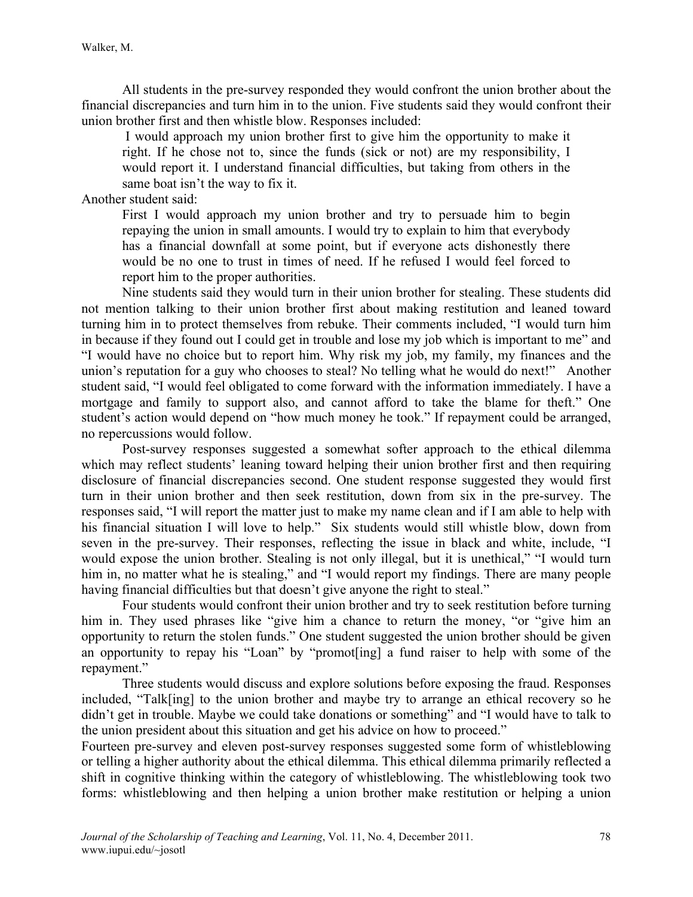All students in the pre-survey responded they would confront the union brother about the financial discrepancies and turn him in to the union. Five students said they would confront their union brother first and then whistle blow. Responses included:

I would approach my union brother first to give him the opportunity to make it right. If he chose not to, since the funds (sick or not) are my responsibility, I would report it. I understand financial difficulties, but taking from others in the same boat isn't the way to fix it.

Another student said:

First I would approach my union brother and try to persuade him to begin repaying the union in small amounts. I would try to explain to him that everybody has a financial downfall at some point, but if everyone acts dishonestly there would be no one to trust in times of need. If he refused I would feel forced to report him to the proper authorities.

Nine students said they would turn in their union brother for stealing. These students did not mention talking to their union brother first about making restitution and leaned toward turning him in to protect themselves from rebuke. Their comments included, "I would turn him in because if they found out I could get in trouble and lose my job which is important to me" and "I would have no choice but to report him. Why risk my job, my family, my finances and the union's reputation for a guy who chooses to steal? No telling what he would do next!" Another student said, "I would feel obligated to come forward with the information immediately. I have a mortgage and family to support also, and cannot afford to take the blame for theft." One student's action would depend on "how much money he took." If repayment could be arranged, no repercussions would follow.

Post-survey responses suggested a somewhat softer approach to the ethical dilemma which may reflect students' leaning toward helping their union brother first and then requiring disclosure of financial discrepancies second. One student response suggested they would first turn in their union brother and then seek restitution, down from six in the pre-survey. The responses said, "I will report the matter just to make my name clean and if I am able to help with his financial situation I will love to help." Six students would still whistle blow, down from seven in the pre-survey. Their responses, reflecting the issue in black and white, include, "I would expose the union brother. Stealing is not only illegal, but it is unethical," "I would turn him in, no matter what he is stealing," and "I would report my findings. There are many people having financial difficulties but that doesn't give anyone the right to steal."

Four students would confront their union brother and try to seek restitution before turning him in. They used phrases like "give him a chance to return the money, "or "give him an opportunity to return the stolen funds." One student suggested the union brother should be given an opportunity to repay his "Loan" by "promot[ing] a fund raiser to help with some of the repayment."

Three students would discuss and explore solutions before exposing the fraud. Responses included, "Talk[ing] to the union brother and maybe try to arrange an ethical recovery so he didn't get in trouble. Maybe we could take donations or something" and "I would have to talk to the union president about this situation and get his advice on how to proceed."

Fourteen pre-survey and eleven post-survey responses suggested some form of whistleblowing or telling a higher authority about the ethical dilemma. This ethical dilemma primarily reflected a shift in cognitive thinking within the category of whistleblowing. The whistleblowing took two forms: whistleblowing and then helping a union brother make restitution or helping a union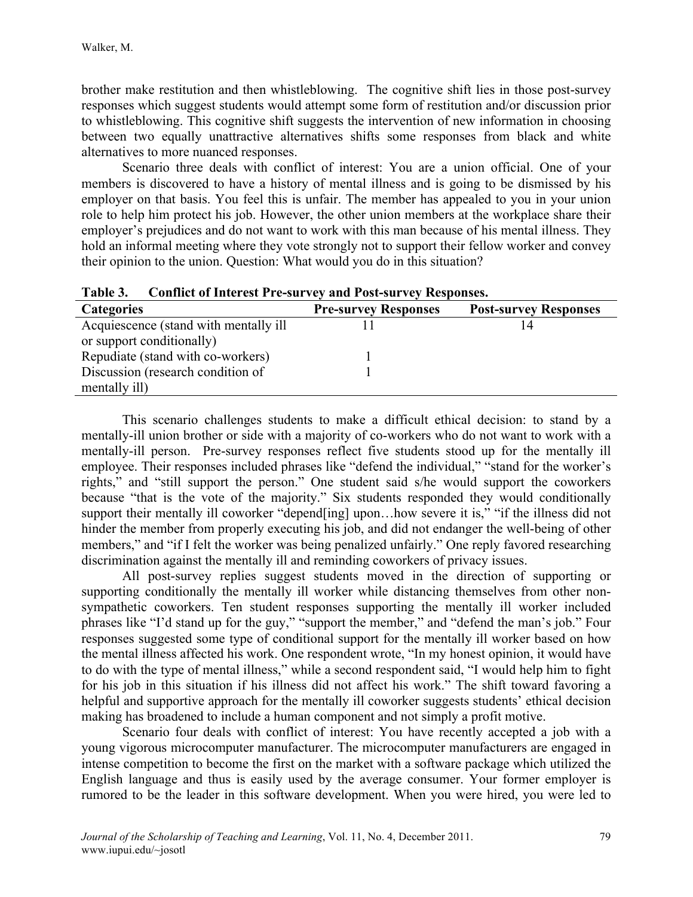brother make restitution and then whistleblowing. The cognitive shift lies in those post-survey responses which suggest students would attempt some form of restitution and/or discussion prior to whistleblowing. This cognitive shift suggests the intervention of new information in choosing between two equally unattractive alternatives shifts some responses from black and white alternatives to more nuanced responses.

Scenario three deals with conflict of interest: You are a union official. One of your members is discovered to have a history of mental illness and is going to be dismissed by his employer on that basis. You feel this is unfair. The member has appealed to you in your union role to help him protect his job. However, the other union members at the workplace share their employer's prejudices and do not want to work with this man because of his mental illness. They hold an informal meeting where they vote strongly not to support their fellow worker and convey their opinion to the union. Question: What would you do in this situation?

| 1 avit J.<br>Commet of Interest I re-survey and I ost-survey responses. |                             |                              |
|-------------------------------------------------------------------------|-----------------------------|------------------------------|
| <b>Categories</b>                                                       | <b>Pre-survey Responses</b> | <b>Post-survey Responses</b> |
| Acquiescence (stand with mentally ill                                   |                             |                              |
| or support conditionally)                                               |                             |                              |
| Repudiate (stand with co-workers)                                       |                             |                              |
| Discussion (research condition of                                       |                             |                              |
| mentally ill)                                                           |                             |                              |

**Table 3. Conflict of Interest Pre-survey and Post-survey Responses.**

This scenario challenges students to make a difficult ethical decision: to stand by a mentally-ill union brother or side with a majority of co-workers who do not want to work with a mentally-ill person. Pre-survey responses reflect five students stood up for the mentally ill employee. Their responses included phrases like "defend the individual," "stand for the worker's rights," and "still support the person." One student said s/he would support the coworkers because "that is the vote of the majority." Six students responded they would conditionally support their mentally ill coworker "depend[ing] upon…how severe it is," "if the illness did not hinder the member from properly executing his job, and did not endanger the well-being of other members," and "if I felt the worker was being penalized unfairly." One reply favored researching discrimination against the mentally ill and reminding coworkers of privacy issues.

All post-survey replies suggest students moved in the direction of supporting or supporting conditionally the mentally ill worker while distancing themselves from other nonsympathetic coworkers. Ten student responses supporting the mentally ill worker included phrases like "I'd stand up for the guy," "support the member," and "defend the man's job." Four responses suggested some type of conditional support for the mentally ill worker based on how the mental illness affected his work. One respondent wrote, "In my honest opinion, it would have to do with the type of mental illness," while a second respondent said, "I would help him to fight for his job in this situation if his illness did not affect his work." The shift toward favoring a helpful and supportive approach for the mentally ill coworker suggests students' ethical decision making has broadened to include a human component and not simply a profit motive.

Scenario four deals with conflict of interest: You have recently accepted a job with a young vigorous microcomputer manufacturer. The microcomputer manufacturers are engaged in intense competition to become the first on the market with a software package which utilized the English language and thus is easily used by the average consumer. Your former employer is rumored to be the leader in this software development. When you were hired, you were led to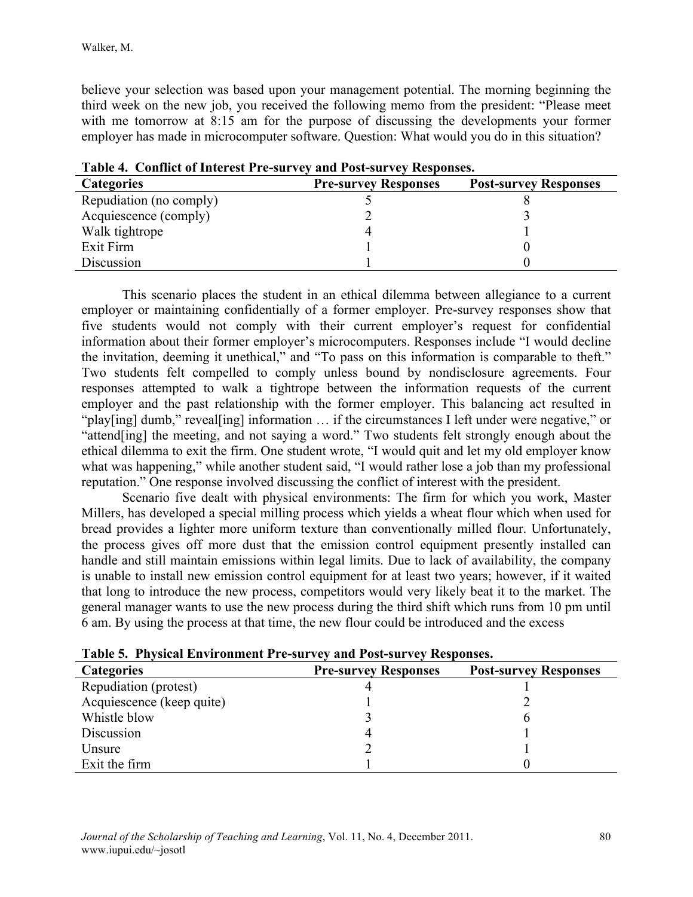believe your selection was based upon your management potential. The morning beginning the third week on the new job, you received the following memo from the president: "Please meet with me tomorrow at 8:15 am for the purpose of discussing the developments your former employer has made in microcomputer software. Question: What would you do in this situation?

| <b>Categories</b>       | <b>Pre-survey Responses</b> | <b>Post-survey Responses</b> |
|-------------------------|-----------------------------|------------------------------|
| Repudiation (no comply) |                             |                              |
| Acquiescence (comply)   |                             |                              |
| Walk tightrope          |                             |                              |
| Exit Firm               |                             |                              |
| Discussion              |                             |                              |

**Table 4. Conflict of Interest Pre-survey and Post-survey Responses.**

This scenario places the student in an ethical dilemma between allegiance to a current employer or maintaining confidentially of a former employer. Pre-survey responses show that five students would not comply with their current employer's request for confidential information about their former employer's microcomputers. Responses include "I would decline the invitation, deeming it unethical," and "To pass on this information is comparable to theft." Two students felt compelled to comply unless bound by nondisclosure agreements. Four responses attempted to walk a tightrope between the information requests of the current employer and the past relationship with the former employer. This balancing act resulted in "play[ing] dumb," reveal[ing] information … if the circumstances I left under were negative," or "attend[ing] the meeting, and not saying a word." Two students felt strongly enough about the ethical dilemma to exit the firm. One student wrote, "I would quit and let my old employer know what was happening," while another student said, "I would rather lose a job than my professional reputation." One response involved discussing the conflict of interest with the president.

Scenario five dealt with physical environments: The firm for which you work, Master Millers, has developed a special milling process which yields a wheat flour which when used for bread provides a lighter more uniform texture than conventionally milled flour. Unfortunately, the process gives off more dust that the emission control equipment presently installed can handle and still maintain emissions within legal limits. Due to lack of availability, the company is unable to install new emission control equipment for at least two years; however, if it waited that long to introduce the new process, competitors would very likely beat it to the market. The general manager wants to use the new process during the third shift which runs from 10 pm until 6 am. By using the process at that time, the new flour could be introduced and the excess

| <b>Categories</b>         | <b>Pre-survey Responses</b> | <b>Post-survey Responses</b> |  |
|---------------------------|-----------------------------|------------------------------|--|
| Repudiation (protest)     |                             |                              |  |
| Acquiescence (keep quite) |                             |                              |  |
| Whistle blow              |                             |                              |  |
| Discussion                |                             |                              |  |
| Unsure                    |                             |                              |  |
| Exit the firm             |                             |                              |  |

**Table 5. Physical Environment Pre-survey and Post-survey Responses.**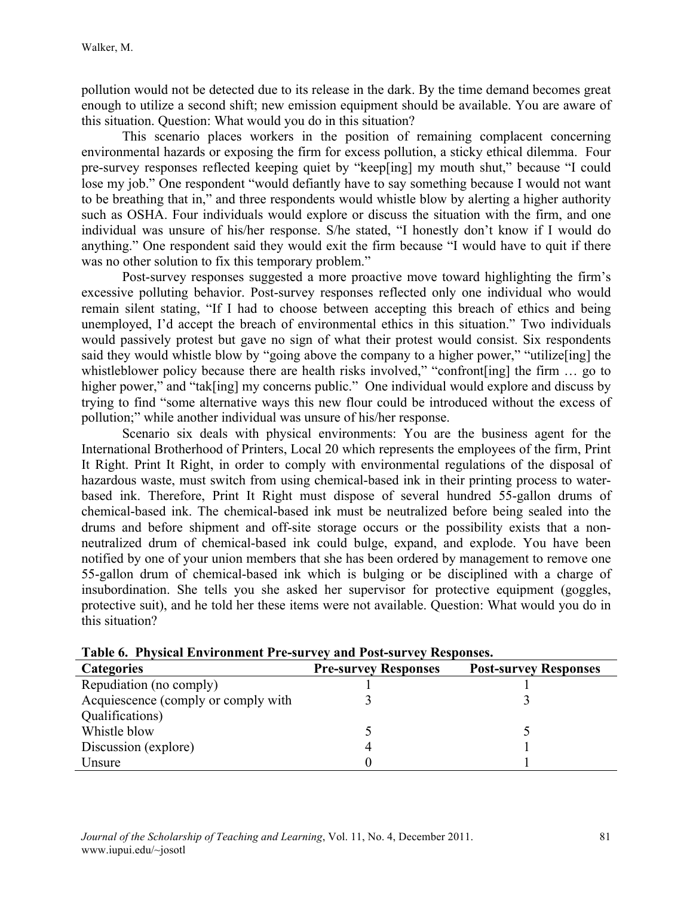pollution would not be detected due to its release in the dark. By the time demand becomes great enough to utilize a second shift; new emission equipment should be available. You are aware of this situation. Question: What would you do in this situation?

This scenario places workers in the position of remaining complacent concerning environmental hazards or exposing the firm for excess pollution, a sticky ethical dilemma. Four pre-survey responses reflected keeping quiet by "keep[ing] my mouth shut," because "I could lose my job." One respondent "would defiantly have to say something because I would not want to be breathing that in," and three respondents would whistle blow by alerting a higher authority such as OSHA. Four individuals would explore or discuss the situation with the firm, and one individual was unsure of his/her response. S/he stated, "I honestly don't know if I would do anything." One respondent said they would exit the firm because "I would have to quit if there was no other solution to fix this temporary problem."

Post-survey responses suggested a more proactive move toward highlighting the firm's excessive polluting behavior. Post-survey responses reflected only one individual who would remain silent stating, "If I had to choose between accepting this breach of ethics and being unemployed, I'd accept the breach of environmental ethics in this situation." Two individuals would passively protest but gave no sign of what their protest would consist. Six respondents said they would whistle blow by "going above the company to a higher power," "utilize[ing] the whistleblower policy because there are health risks involved," "confront[ing] the firm ... go to higher power," and "tak[ing] my concerns public." One individual would explore and discuss by trying to find "some alternative ways this new flour could be introduced without the excess of pollution;" while another individual was unsure of his/her response.

Scenario six deals with physical environments: You are the business agent for the International Brotherhood of Printers, Local 20 which represents the employees of the firm, Print It Right. Print It Right, in order to comply with environmental regulations of the disposal of hazardous waste, must switch from using chemical-based ink in their printing process to waterbased ink. Therefore, Print It Right must dispose of several hundred 55-gallon drums of chemical-based ink. The chemical-based ink must be neutralized before being sealed into the drums and before shipment and off-site storage occurs or the possibility exists that a nonneutralized drum of chemical-based ink could bulge, expand, and explode. You have been notified by one of your union members that she has been ordered by management to remove one 55-gallon drum of chemical-based ink which is bulging or be disciplined with a charge of insubordination. She tells you she asked her supervisor for protective equipment (goggles, protective suit), and he told her these items were not available. Question: What would you do in this situation?

| <b>Categories</b>                   | <b>Pre-survey Responses</b> | <b>Post-survey Responses</b> |
|-------------------------------------|-----------------------------|------------------------------|
| Repudiation (no comply)             |                             |                              |
| Acquiescence (comply or comply with |                             |                              |
| Qualifications)                     |                             |                              |
| Whistle blow                        |                             |                              |
| Discussion (explore)                |                             |                              |
| Unsure                              |                             |                              |

**Table 6. Physical Environment Pre-survey and Post-survey Responses.**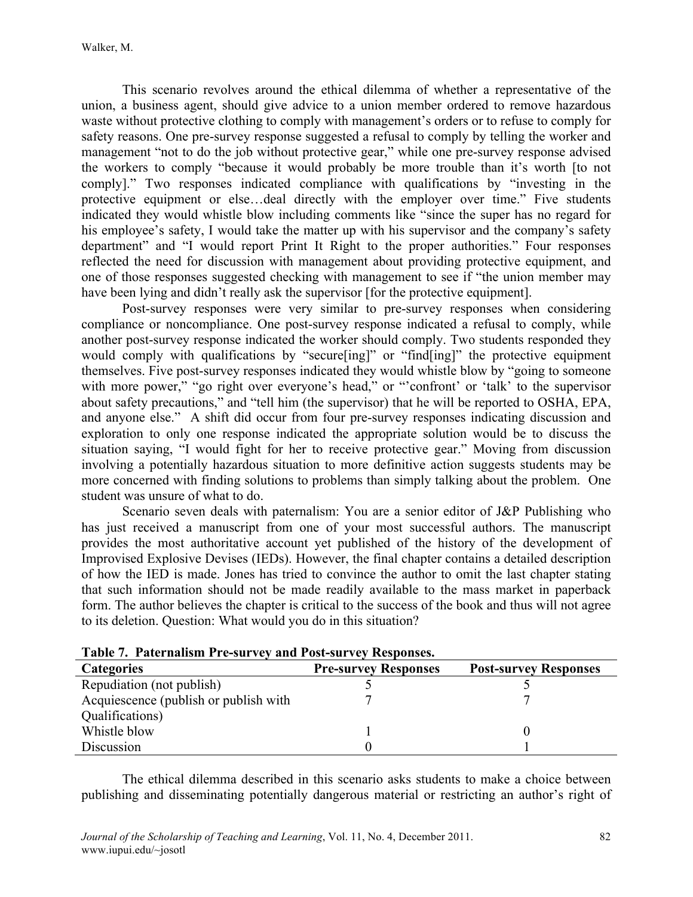This scenario revolves around the ethical dilemma of whether a representative of the union, a business agent, should give advice to a union member ordered to remove hazardous waste without protective clothing to comply with management's orders or to refuse to comply for safety reasons. One pre-survey response suggested a refusal to comply by telling the worker and management "not to do the job without protective gear," while one pre-survey response advised the workers to comply "because it would probably be more trouble than it's worth [to not comply]." Two responses indicated compliance with qualifications by "investing in the protective equipment or else…deal directly with the employer over time." Five students indicated they would whistle blow including comments like "since the super has no regard for his employee's safety, I would take the matter up with his supervisor and the company's safety department" and "I would report Print It Right to the proper authorities." Four responses reflected the need for discussion with management about providing protective equipment, and one of those responses suggested checking with management to see if "the union member may have been lying and didn't really ask the supervisor [for the protective equipment].

Post-survey responses were very similar to pre-survey responses when considering compliance or noncompliance. One post-survey response indicated a refusal to comply, while another post-survey response indicated the worker should comply. Two students responded they would comply with qualifications by "secure[ing]" or "find[ing]" the protective equipment themselves. Five post-survey responses indicated they would whistle blow by "going to someone with more power," "go right over everyone's head," or "'confront' or 'talk' to the supervisor about safety precautions," and "tell him (the supervisor) that he will be reported to OSHA, EPA, and anyone else." A shift did occur from four pre-survey responses indicating discussion and exploration to only one response indicated the appropriate solution would be to discuss the situation saying, "I would fight for her to receive protective gear." Moving from discussion involving a potentially hazardous situation to more definitive action suggests students may be more concerned with finding solutions to problems than simply talking about the problem. One student was unsure of what to do.

Scenario seven deals with paternalism: You are a senior editor of J&P Publishing who has just received a manuscript from one of your most successful authors. The manuscript provides the most authoritative account yet published of the history of the development of Improvised Explosive Devises (IEDs). However, the final chapter contains a detailed description of how the IED is made. Jones has tried to convince the author to omit the last chapter stating that such information should not be made readily available to the mass market in paperback form. The author believes the chapter is critical to the success of the book and thus will not agree to its deletion. Question: What would you do in this situation?

| Table 14 Tatel Hanshi TTC 301 (C) and TO9t 301 (C) Tecsponses. |                             |                              |  |
|----------------------------------------------------------------|-----------------------------|------------------------------|--|
| <b>Categories</b>                                              | <b>Pre-survey Responses</b> | <b>Post-survey Responses</b> |  |
| Repudiation (not publish)                                      |                             |                              |  |
| Acquiescence (publish or publish with                          |                             |                              |  |
| Qualifications)                                                |                             |                              |  |
| Whistle blow                                                   |                             |                              |  |
| Discussion                                                     |                             |                              |  |

**Table 7. Paternalism Pre-survey and Post-survey Responses.**

The ethical dilemma described in this scenario asks students to make a choice between publishing and disseminating potentially dangerous material or restricting an author's right of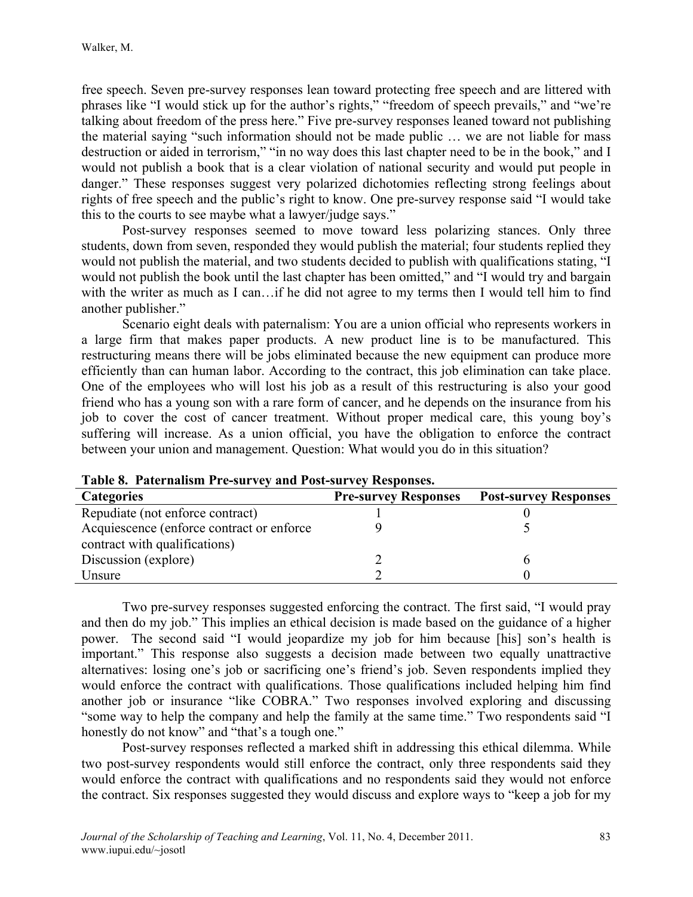free speech. Seven pre-survey responses lean toward protecting free speech and are littered with phrases like "I would stick up for the author's rights," "freedom of speech prevails," and "we're talking about freedom of the press here." Five pre-survey responses leaned toward not publishing the material saying "such information should not be made public … we are not liable for mass destruction or aided in terrorism," "in no way does this last chapter need to be in the book," and I would not publish a book that is a clear violation of national security and would put people in danger." These responses suggest very polarized dichotomies reflecting strong feelings about rights of free speech and the public's right to know. One pre-survey response said "I would take this to the courts to see maybe what a lawyer/judge says."

Post-survey responses seemed to move toward less polarizing stances. Only three students, down from seven, responded they would publish the material; four students replied they would not publish the material, and two students decided to publish with qualifications stating, "I would not publish the book until the last chapter has been omitted," and "I would try and bargain with the writer as much as I can...if he did not agree to my terms then I would tell him to find another publisher."

Scenario eight deals with paternalism: You are a union official who represents workers in a large firm that makes paper products. A new product line is to be manufactured. This restructuring means there will be jobs eliminated because the new equipment can produce more efficiently than can human labor. According to the contract, this job elimination can take place. One of the employees who will lost his job as a result of this restructuring is also your good friend who has a young son with a rare form of cancer, and he depends on the insurance from his job to cover the cost of cancer treatment. Without proper medical care, this young boy's suffering will increase. As a union official, you have the obligation to enforce the contract between your union and management. Question: What would you do in this situation?

| <b>Categories</b>                          | <b>Pre-survey Responses</b> | <b>Post-survey Responses</b> |
|--------------------------------------------|-----------------------------|------------------------------|
| Repudiate (not enforce contract)           |                             |                              |
| Acquiescence (enforce contract or enforce) |                             |                              |
| contract with qualifications)              |                             |                              |
| Discussion (explore)                       |                             |                              |
| Unsure                                     |                             |                              |

**Table 8. Paternalism Pre-survey and Post-survey Responses.**

Two pre-survey responses suggested enforcing the contract. The first said, "I would pray and then do my job." This implies an ethical decision is made based on the guidance of a higher power. The second said "I would jeopardize my job for him because [his] son's health is important." This response also suggests a decision made between two equally unattractive alternatives: losing one's job or sacrificing one's friend's job. Seven respondents implied they would enforce the contract with qualifications. Those qualifications included helping him find another job or insurance "like COBRA." Two responses involved exploring and discussing "some way to help the company and help the family at the same time." Two respondents said "I honestly do not know" and "that's a tough one."

Post-survey responses reflected a marked shift in addressing this ethical dilemma. While two post-survey respondents would still enforce the contract, only three respondents said they would enforce the contract with qualifications and no respondents said they would not enforce the contract. Six responses suggested they would discuss and explore ways to "keep a job for my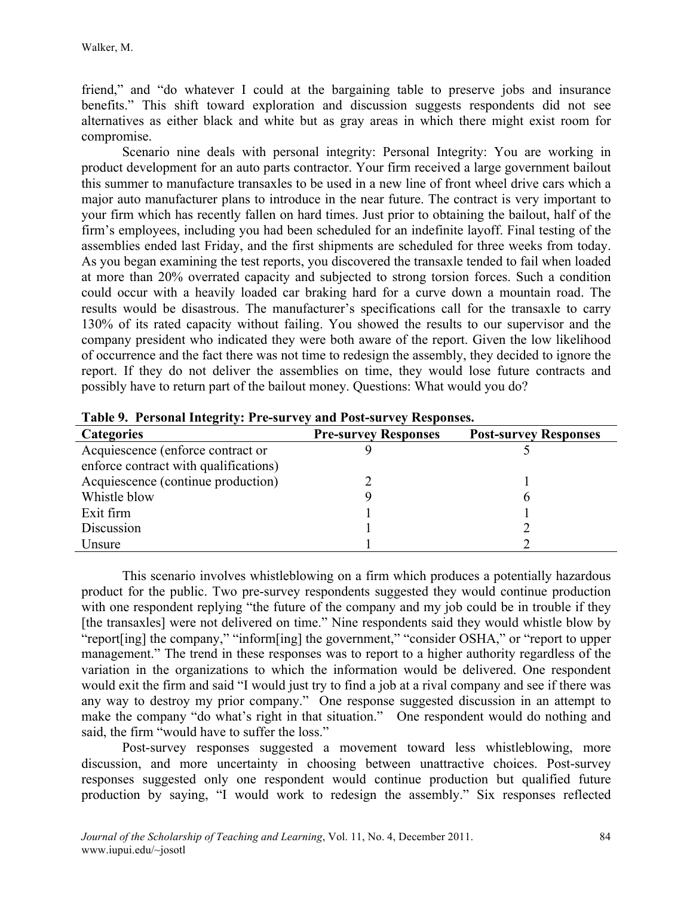friend," and "do whatever I could at the bargaining table to preserve jobs and insurance benefits." This shift toward exploration and discussion suggests respondents did not see alternatives as either black and white but as gray areas in which there might exist room for compromise.

Scenario nine deals with personal integrity: Personal Integrity: You are working in product development for an auto parts contractor. Your firm received a large government bailout this summer to manufacture transaxles to be used in a new line of front wheel drive cars which a major auto manufacturer plans to introduce in the near future. The contract is very important to your firm which has recently fallen on hard times. Just prior to obtaining the bailout, half of the firm's employees, including you had been scheduled for an indefinite layoff. Final testing of the assemblies ended last Friday, and the first shipments are scheduled for three weeks from today. As you began examining the test reports, you discovered the transaxle tended to fail when loaded at more than 20% overrated capacity and subjected to strong torsion forces. Such a condition could occur with a heavily loaded car braking hard for a curve down a mountain road. The results would be disastrous. The manufacturer's specifications call for the transaxle to carry 130% of its rated capacity without failing. You showed the results to our supervisor and the company president who indicated they were both aware of the report. Given the low likelihood of occurrence and the fact there was not time to redesign the assembly, they decided to ignore the report. If they do not deliver the assemblies on time, they would lose future contracts and possibly have to return part of the bailout money. Questions: What would you do?

| <b>Categories</b>                     | <b>Pre-survey Responses</b> | <b>Post-survey Responses</b> |
|---------------------------------------|-----------------------------|------------------------------|
| Acquiescence (enforce contract or     |                             |                              |
| enforce contract with qualifications) |                             |                              |
| Acquiescence (continue production)    |                             |                              |
| Whistle blow                          |                             |                              |
| Exit firm                             |                             |                              |
| Discussion                            |                             |                              |
| Unsure                                |                             |                              |

**Table 9. Personal Integrity: Pre-survey and Post-survey Responses.**

This scenario involves whistleblowing on a firm which produces a potentially hazardous product for the public. Two pre-survey respondents suggested they would continue production with one respondent replying "the future of the company and my job could be in trouble if they [the transaxles] were not delivered on time." Nine respondents said they would whistle blow by "report[ing] the company," "inform[ing] the government," "consider OSHA," or "report to upper management." The trend in these responses was to report to a higher authority regardless of the variation in the organizations to which the information would be delivered. One respondent would exit the firm and said "I would just try to find a job at a rival company and see if there was any way to destroy my prior company." One response suggested discussion in an attempt to make the company "do what's right in that situation." One respondent would do nothing and said, the firm "would have to suffer the loss."

Post-survey responses suggested a movement toward less whistleblowing, more discussion, and more uncertainty in choosing between unattractive choices. Post-survey responses suggested only one respondent would continue production but qualified future production by saying, "I would work to redesign the assembly." Six responses reflected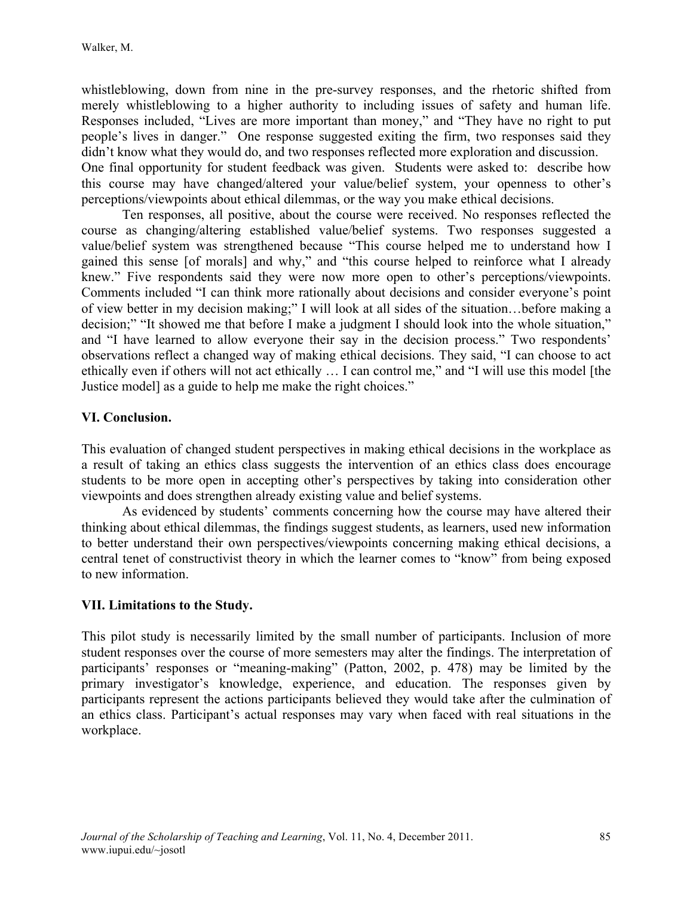whistleblowing, down from nine in the pre-survey responses, and the rhetoric shifted from merely whistleblowing to a higher authority to including issues of safety and human life. Responses included, "Lives are more important than money," and "They have no right to put people's lives in danger." One response suggested exiting the firm, two responses said they didn't know what they would do, and two responses reflected more exploration and discussion. One final opportunity for student feedback was given. Students were asked to: describe how this course may have changed/altered your value/belief system, your openness to other's perceptions/viewpoints about ethical dilemmas, or the way you make ethical decisions.

Ten responses, all positive, about the course were received. No responses reflected the course as changing/altering established value/belief systems. Two responses suggested a value/belief system was strengthened because "This course helped me to understand how I gained this sense [of morals] and why," and "this course helped to reinforce what I already knew." Five respondents said they were now more open to other's perceptions/viewpoints. Comments included "I can think more rationally about decisions and consider everyone's point of view better in my decision making;" I will look at all sides of the situation…before making a decision;" "It showed me that before I make a judgment I should look into the whole situation," and "I have learned to allow everyone their say in the decision process." Two respondents' observations reflect a changed way of making ethical decisions. They said, "I can choose to act ethically even if others will not act ethically … I can control me," and "I will use this model [the Justice model] as a guide to help me make the right choices."

# **VI. Conclusion.**

This evaluation of changed student perspectives in making ethical decisions in the workplace as a result of taking an ethics class suggests the intervention of an ethics class does encourage students to be more open in accepting other's perspectives by taking into consideration other viewpoints and does strengthen already existing value and belief systems.

As evidenced by students' comments concerning how the course may have altered their thinking about ethical dilemmas, the findings suggest students, as learners, used new information to better understand their own perspectives/viewpoints concerning making ethical decisions, a central tenet of constructivist theory in which the learner comes to "know" from being exposed to new information.

# **VII. Limitations to the Study.**

This pilot study is necessarily limited by the small number of participants. Inclusion of more student responses over the course of more semesters may alter the findings. The interpretation of participants' responses or "meaning-making" (Patton, 2002, p. 478) may be limited by the primary investigator's knowledge, experience, and education. The responses given by participants represent the actions participants believed they would take after the culmination of an ethics class. Participant's actual responses may vary when faced with real situations in the workplace.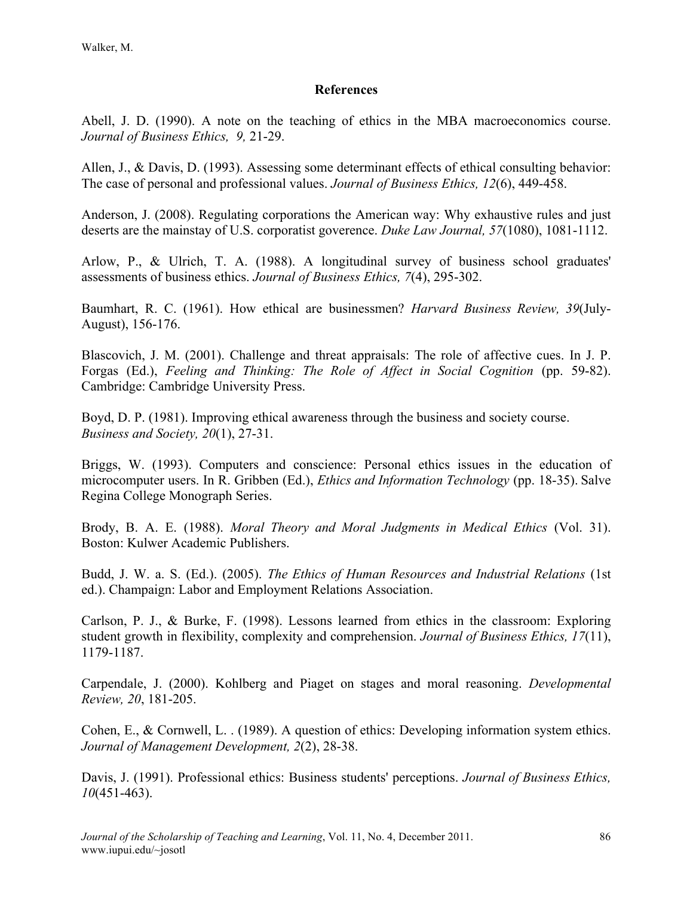### **References**

Abell, J. D. (1990). A note on the teaching of ethics in the MBA macroeconomics course. *Journal of Business Ethics, 9,* 21-29.

Allen, J., & Davis, D. (1993). Assessing some determinant effects of ethical consulting behavior: The case of personal and professional values. *Journal of Business Ethics, 12*(6), 449-458.

Anderson, J. (2008). Regulating corporations the American way: Why exhaustive rules and just deserts are the mainstay of U.S. corporatist goverence. *Duke Law Journal, 57*(1080), 1081-1112.

Arlow, P., & Ulrich, T. A. (1988). A longitudinal survey of business school graduates' assessments of business ethics. *Journal of Business Ethics, 7*(4), 295-302.

Baumhart, R. C. (1961). How ethical are businessmen? *Harvard Business Review, 39*(July-August), 156-176.

Blascovich, J. M. (2001). Challenge and threat appraisals: The role of affective cues. In J. P. Forgas (Ed.), *Feeling and Thinking: The Role of Affect in Social Cognition* (pp. 59-82). Cambridge: Cambridge University Press.

Boyd, D. P. (1981). Improving ethical awareness through the business and society course. *Business and Society, 20*(1), 27-31.

Briggs, W. (1993). Computers and conscience: Personal ethics issues in the education of microcomputer users. In R. Gribben (Ed.), *Ethics and Information Technology* (pp. 18-35). Salve Regina College Monograph Series.

Brody, B. A. E. (1988). *Moral Theory and Moral Judgments in Medical Ethics* (Vol. 31). Boston: Kulwer Academic Publishers.

Budd, J. W. a. S. (Ed.). (2005). *The Ethics of Human Resources and Industrial Relations* (1st ed.). Champaign: Labor and Employment Relations Association.

Carlson, P. J., & Burke, F. (1998). Lessons learned from ethics in the classroom: Exploring student growth in flexibility, complexity and comprehension. *Journal of Business Ethics, 17*(11), 1179-1187.

Carpendale, J. (2000). Kohlberg and Piaget on stages and moral reasoning. *Developmental Review, 20*, 181-205.

Cohen, E., & Cornwell, L. . (1989). A question of ethics: Developing information system ethics. *Journal of Management Development, 2*(2), 28-38.

Davis, J. (1991). Professional ethics: Business students' perceptions. *Journal of Business Ethics, 10*(451-463).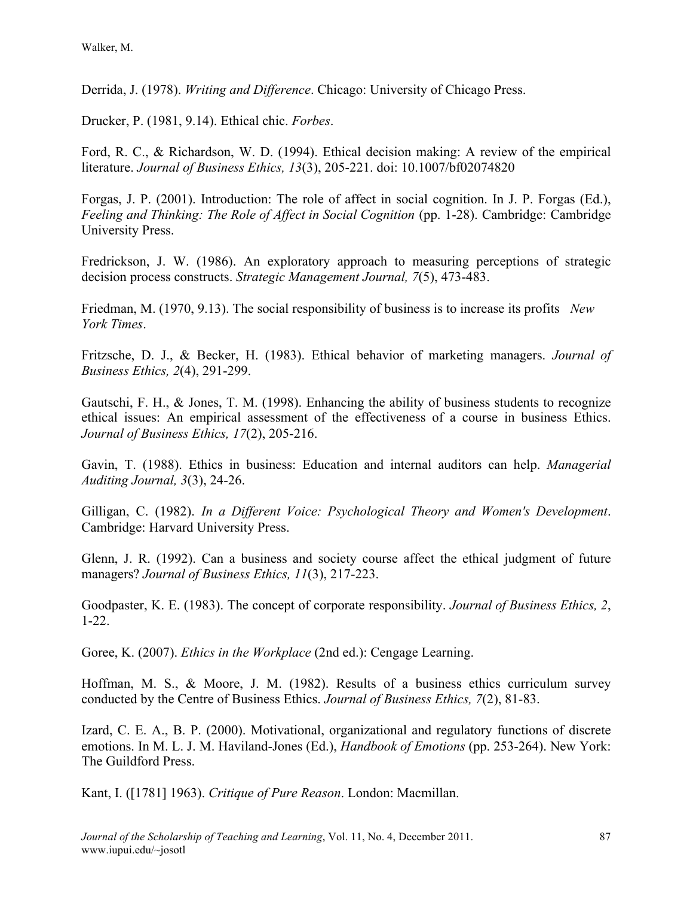Walker, M.

Derrida, J. (1978). *Writing and Difference*. Chicago: University of Chicago Press.

Drucker, P. (1981, 9.14). Ethical chic. *Forbes*.

Ford, R. C., & Richardson, W. D. (1994). Ethical decision making: A review of the empirical literature. *Journal of Business Ethics, 13*(3), 205-221. doi: 10.1007/bf02074820

Forgas, J. P. (2001). Introduction: The role of affect in social cognition. In J. P. Forgas (Ed.), *Feeling and Thinking: The Role of Affect in Social Cognition* (pp. 1-28). Cambridge: Cambridge University Press.

Fredrickson, J. W. (1986). An exploratory approach to measuring perceptions of strategic decision process constructs. *Strategic Management Journal, 7*(5), 473-483.

Friedman, M. (1970, 9.13). The social responsibility of business is to increase its profits *New York Times*.

Fritzsche, D. J., & Becker, H. (1983). Ethical behavior of marketing managers. *Journal of Business Ethics, 2*(4), 291-299.

Gautschi, F. H., & Jones, T. M. (1998). Enhancing the ability of business students to recognize ethical issues: An empirical assessment of the effectiveness of a course in business Ethics. *Journal of Business Ethics, 17*(2), 205-216.

Gavin, T. (1988). Ethics in business: Education and internal auditors can help. *Managerial Auditing Journal, 3*(3), 24-26.

Gilligan, C. (1982). *In a Different Voice: Psychological Theory and Women's Development*. Cambridge: Harvard University Press.

Glenn, J. R. (1992). Can a business and society course affect the ethical judgment of future managers? *Journal of Business Ethics, 11*(3), 217-223.

Goodpaster, K. E. (1983). The concept of corporate responsibility. *Journal of Business Ethics, 2*, 1-22.

Goree, K. (2007). *Ethics in the Workplace* (2nd ed.): Cengage Learning.

Hoffman, M. S., & Moore, J. M. (1982). Results of a business ethics curriculum survey conducted by the Centre of Business Ethics. *Journal of Business Ethics, 7*(2), 81-83.

Izard, C. E. A., B. P. (2000). Motivational, organizational and regulatory functions of discrete emotions. In M. L. J. M. Haviland-Jones (Ed.), *Handbook of Emotions* (pp. 253-264). New York: The Guildford Press.

Kant, I. ([1781] 1963). *Critique of Pure Reason*. London: Macmillan.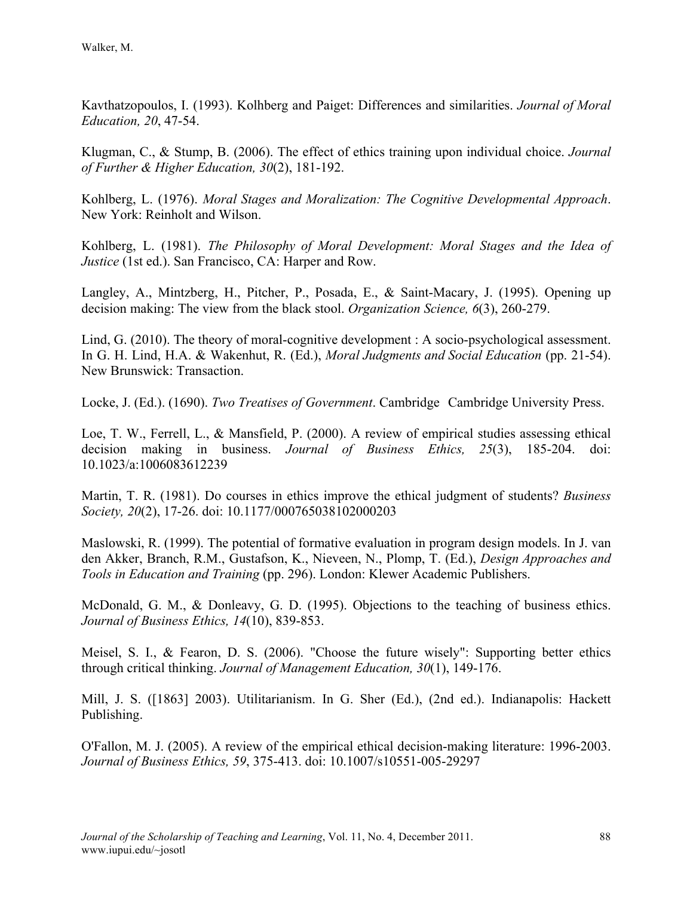Kavthatzopoulos, I. (1993). Kolhberg and Paiget: Differences and similarities. *Journal of Moral Education, 20*, 47-54.

Klugman, C., & Stump, B. (2006). The effect of ethics training upon individual choice. *Journal of Further & Higher Education, 30*(2), 181-192.

Kohlberg, L. (1976). *Moral Stages and Moralization: The Cognitive Developmental Approach*. New York: Reinholt and Wilson.

Kohlberg, L. (1981). *The Philosophy of Moral Development: Moral Stages and the Idea of Justice* (1st ed.). San Francisco, CA: Harper and Row.

Langley, A., Mintzberg, H., Pitcher, P., Posada, E., & Saint-Macary, J. (1995). Opening up decision making: The view from the black stool. *Organization Science, 6*(3), 260-279.

Lind, G. (2010). The theory of moral-cognitive development : A socio-psychological assessment. In G. H. Lind, H.A. & Wakenhut, R. (Ed.), *Moral Judgments and Social Education* (pp. 21-54). New Brunswick: Transaction.

Locke, J. (Ed.). (1690). *Two Treatises of Government*. Cambridge Cambridge University Press.

Loe, T. W., Ferrell, L., & Mansfield, P. (2000). A review of empirical studies assessing ethical decision making in business. *Journal of Business Ethics, 25*(3), 185-204. doi: 10.1023/a:1006083612239

Martin, T. R. (1981). Do courses in ethics improve the ethical judgment of students? *Business Society, 20*(2), 17-26. doi: 10.1177/000765038102000203

Maslowski, R. (1999). The potential of formative evaluation in program design models. In J. van den Akker, Branch, R.M., Gustafson, K., Nieveen, N., Plomp, T. (Ed.), *Design Approaches and Tools in Education and Training* (pp. 296). London: Klewer Academic Publishers.

McDonald, G. M., & Donleavy, G. D. (1995). Objections to the teaching of business ethics. *Journal of Business Ethics, 14*(10), 839-853.

Meisel, S. I., & Fearon, D. S. (2006). "Choose the future wisely": Supporting better ethics through critical thinking. *Journal of Management Education, 30*(1), 149-176.

Mill, J. S. ([1863] 2003). Utilitarianism. In G. Sher (Ed.), (2nd ed.). Indianapolis: Hackett Publishing.

O'Fallon, M. J. (2005). A review of the empirical ethical decision-making literature: 1996-2003. *Journal of Business Ethics, 59*, 375-413. doi: 10.1007/s10551-005-29297